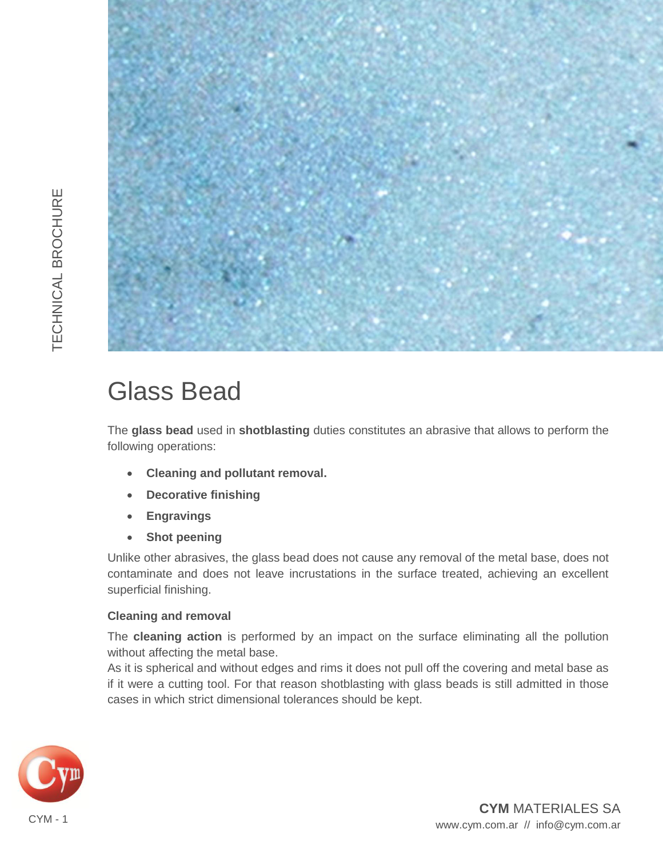

# Glass Bead

The **glass bead** used in **shotblasting** duties constitutes an abrasive that allows to perform the following operations:

- **Cleaning and pollutant removal.**
- **Decorative finishing**
- **Engravings**
- **Shot peening**

Unlike other abrasives, the glass bead does not cause any removal of the metal base, does not contaminate and does not leave incrustations in the surface treated, achieving an excellent superficial finishing.

### **Cleaning and removal**

The **cleaning action** is performed by an impact on the surface eliminating all the pollution without affecting the metal base.

As it is spherical and without edges and rims it does not pull off the covering and metal base as if it were a cutting tool. For that reason shotblasting with glass beads is still admitted in those cases in which strict dimensional tolerances should be kept.



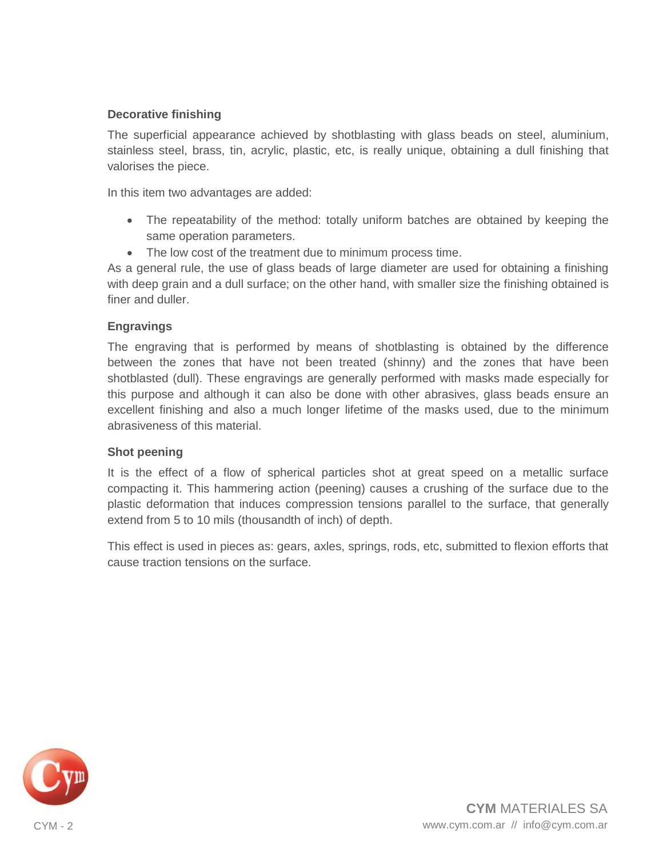#### **Decorative finishing**

The superficial appearance achieved by shotblasting with glass beads on steel, aluminium, stainless steel, brass, tin, acrylic, plastic, etc, is really unique, obtaining a dull finishing that valorises the piece.

In this item two advantages are added:

- The repeatability of the method: totally uniform batches are obtained by keeping the same operation parameters.
- The low cost of the treatment due to minimum process time.

As a general rule, the use of glass beads of large diameter are used for obtaining a finishing with deep grain and a dull surface; on the other hand, with smaller size the finishing obtained is finer and duller.

#### **Engravings**

The engraving that is performed by means of shotblasting is obtained by the difference between the zones that have not been treated (shinny) and the zones that have been shotblasted (dull). These engravings are generally performed with masks made especially for this purpose and although it can also be done with other abrasives, glass beads ensure an excellent finishing and also a much longer lifetime of the masks used, due to the minimum abrasiveness of this material.

#### **Shot peening**

It is the effect of a flow of spherical particles shot at great speed on a metallic surface compacting it. This hammering action (peening) causes a crushing of the surface due to the plastic deformation that induces compression tensions parallel to the surface, that generally extend from 5 to 10 mils (thousandth of inch) of depth.

This effect is used in pieces as: gears, axles, springs, rods, etc, submitted to flexion efforts that cause traction tensions on the surface.

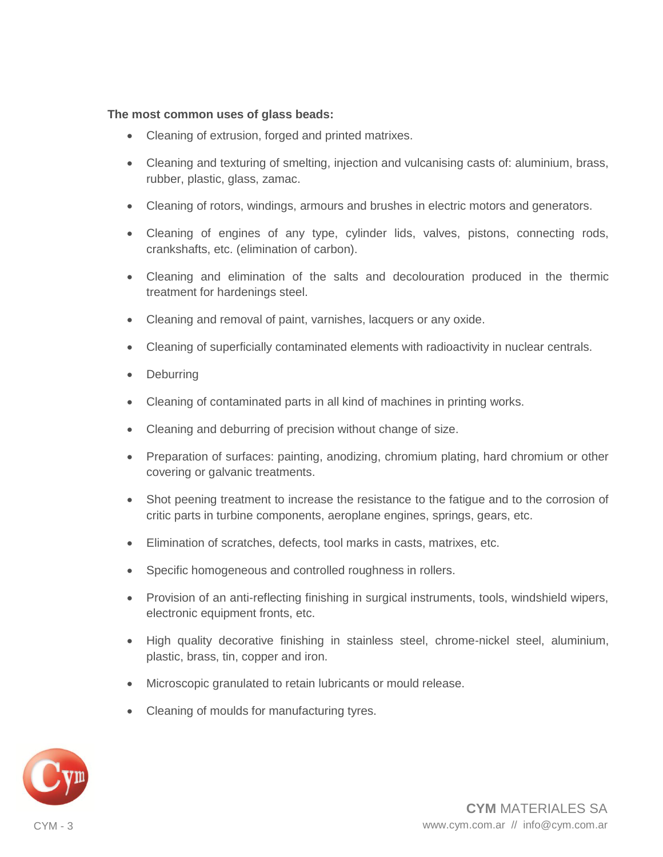#### **The most common uses of glass beads:**

- Cleaning of extrusion, forged and printed matrixes.
- Cleaning and texturing of smelting, injection and vulcanising casts of: aluminium, brass, rubber, plastic, glass, zamac.
- Cleaning of rotors, windings, armours and brushes in electric motors and generators.
- Cleaning of engines of any type, cylinder lids, valves, pistons, connecting rods, crankshafts, etc. (elimination of carbon).
- Cleaning and elimination of the salts and decolouration produced in the thermic treatment for hardenings steel.
- Cleaning and removal of paint, varnishes, lacquers or any oxide.
- Cleaning of superficially contaminated elements with radioactivity in nuclear centrals.
- **Deburring**
- Cleaning of contaminated parts in all kind of machines in printing works.
- Cleaning and deburring of precision without change of size.
- Preparation of surfaces: painting, anodizing, chromium plating, hard chromium or other covering or galvanic treatments.
- Shot peening treatment to increase the resistance to the fatigue and to the corrosion of critic parts in turbine components, aeroplane engines, springs, gears, etc.
- Elimination of scratches, defects, tool marks in casts, matrixes, etc.
- Specific homogeneous and controlled roughness in rollers.
- Provision of an anti-reflecting finishing in surgical instruments, tools, windshield wipers, electronic equipment fronts, etc.
- High quality decorative finishing in stainless steel, chrome-nickel steel, aluminium, plastic, brass, tin, copper and iron.
- Microscopic granulated to retain lubricants or mould release.
- Cleaning of moulds for manufacturing tyres.